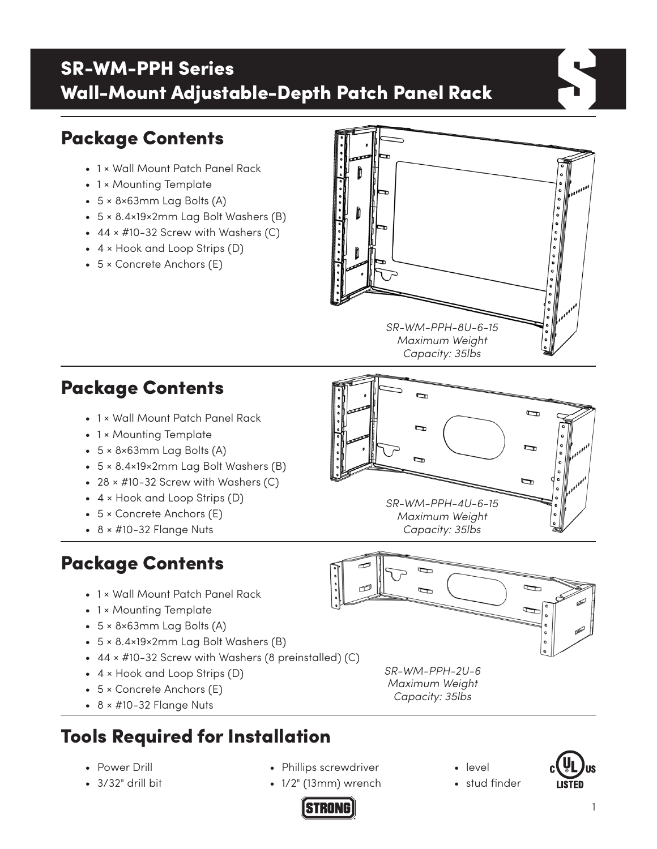## SR-WM-PPH Series Wall-Mount Adjustable-Depth Patch Panel Rack

# Package Contents

- 1 × Wall Mount Patch Panel Rack
- 1 × Mounting Template
- 5 × 8×63mm Lag Bolts (A)
- 5 × 8.4×19×2mm Lag Bolt Washers (B)
- $44 \times #10-32$  Screw with Washers (C)
- 4 × Hook and Loop Strips (D)
- 5 × Concrete Anchors (E)



 $\overline{\mathbf{q}}$ 

 $\overline{\phantom{0}}$ 

## Package Contents

- 1 × Wall Mount Patch Panel Rack
- 1 × Mounting Template
- 5 × 8×63mm Lag Bolts (A)
- 5 × 8.4×19×2mm Lag Bolt Washers (B)
- $28 \times #10-32$  Screw with Washers  $(C)$
- 4 × Hook and Loop Strips (D)
- 5 × Concrete Anchors (E)
- $\bullet$  8  $\times$  #10-32 Flange Nuts

## Package Contents

- 1 × Wall Mount Patch Panel Rack
- 1 × Mounting Template
- 5 × 8×63mm Lag Bolts (A)
- 5 × 8.4×19×2mm Lag Bolt Washers (B)
- 44 × #10-32 Screw with Washers (8 preinstalled) (C)
- 4 × Hook and Loop Strips (D)
- 5 × Concrete Anchors (E)
- $\bullet$  8  $\times$  #10-32 Flange Nuts

# Tools Required for Installation

- Power Drill
- 3/32" drill bit
- Phillips screwdriver
- 1/2" (13mm) wrench

**STRONG** 





• stud finder



*SR-WM-PPH-2U-6 Maximum Weight Capacity: 35lbs*

*SR-WM-PPH-4U-6-15 Maximum Weight Capacity: 35lbs*

 $\overline{u}$ 

þ

 $\overline{r}$ 

 $\overline{ }$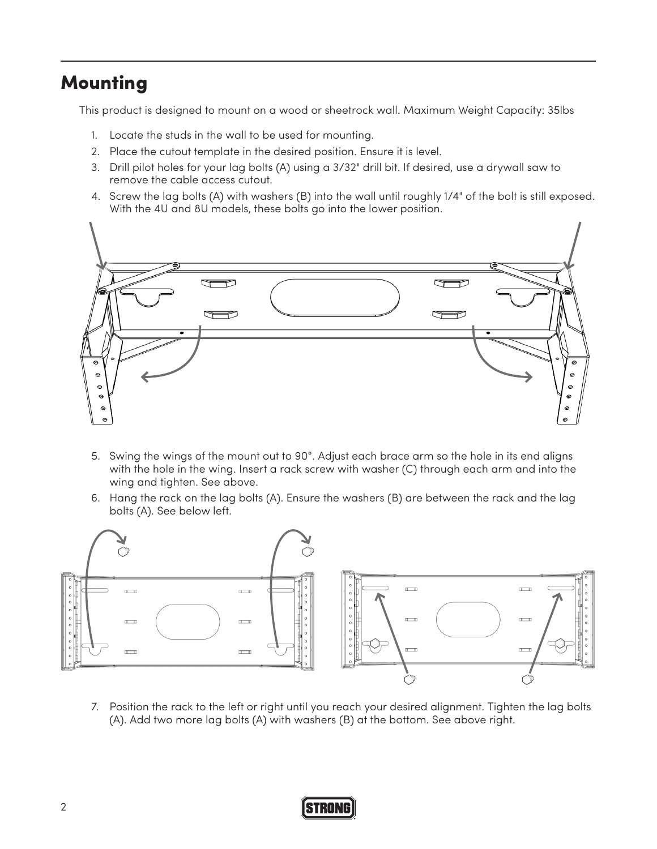## **Mounting**

This product is designed to mount on a wood or sheetrock wall. Maximum Weight Capacity: 35lbs

- 1. Locate the studs in the wall to be used for mounting.
- 2. Place the cutout template in the desired position. Ensure it is level.
- 3. Drill pilot holes for your lag bolts (A) using a 3/32" drill bit. If desired, use a drywall saw to remove the cable access cutout.
- 4. Screw the lag bolts (A) with washers (B) into the wall until roughly 1/4" of the bolt is still exposed. With the 4U and 8U models, these bolts go into the lower position.



- 5. Swing the wings of the mount out to 90°. Adjust each brace arm so the hole in its end aligns with the hole in the wing. Insert a rack screw with washer (C) through each arm and into the wing and tighten. See above.
- 6. Hang the rack on the lag bolts (A). Ensure the washers (B) are between the rack and the lag bolts (A). See below left.



7. Position the rack to the left or right until you reach your desired alignment. Tighten the lag bolts (A). Add two more lag bolts (A) with washers (B) at the bottom. See above right.

### **STRONG**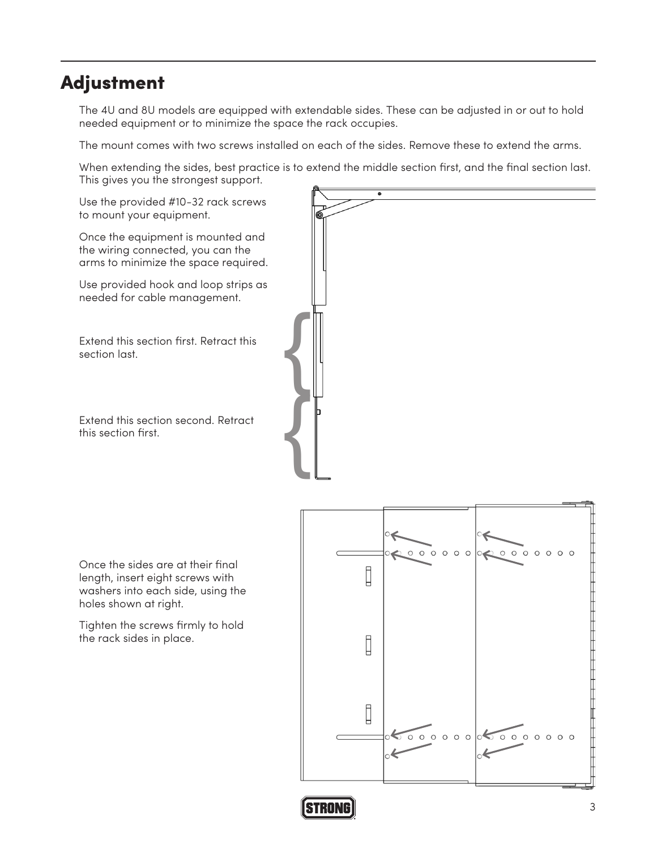## Adjustment

The 4U and 8U models are equipped with extendable sides. These can be adjusted in or out to hold needed equipment or to minimize the space the rack occupies.

The mount comes with two screws installed on each of the sides. Remove these to extend the arms.

When extending the sides, best practice is to extend the middle section first, and the final section last. This gives you the strongest support.

Use the provided #10-32 rack screws to mount your equipment.

Once the equipment is mounted and the wiring connected, you can the arms to minimize the space required.

Use provided hook and loop strips as needed for cable management.

Extend this section first. Retract this section last.

Extend this section second. Retract this section first.

{ {

Once the sides are at their final length, insert eight screws with washers into each side, using the holes shown at right.

Tighten the screws firmly to hold the rack sides in place.